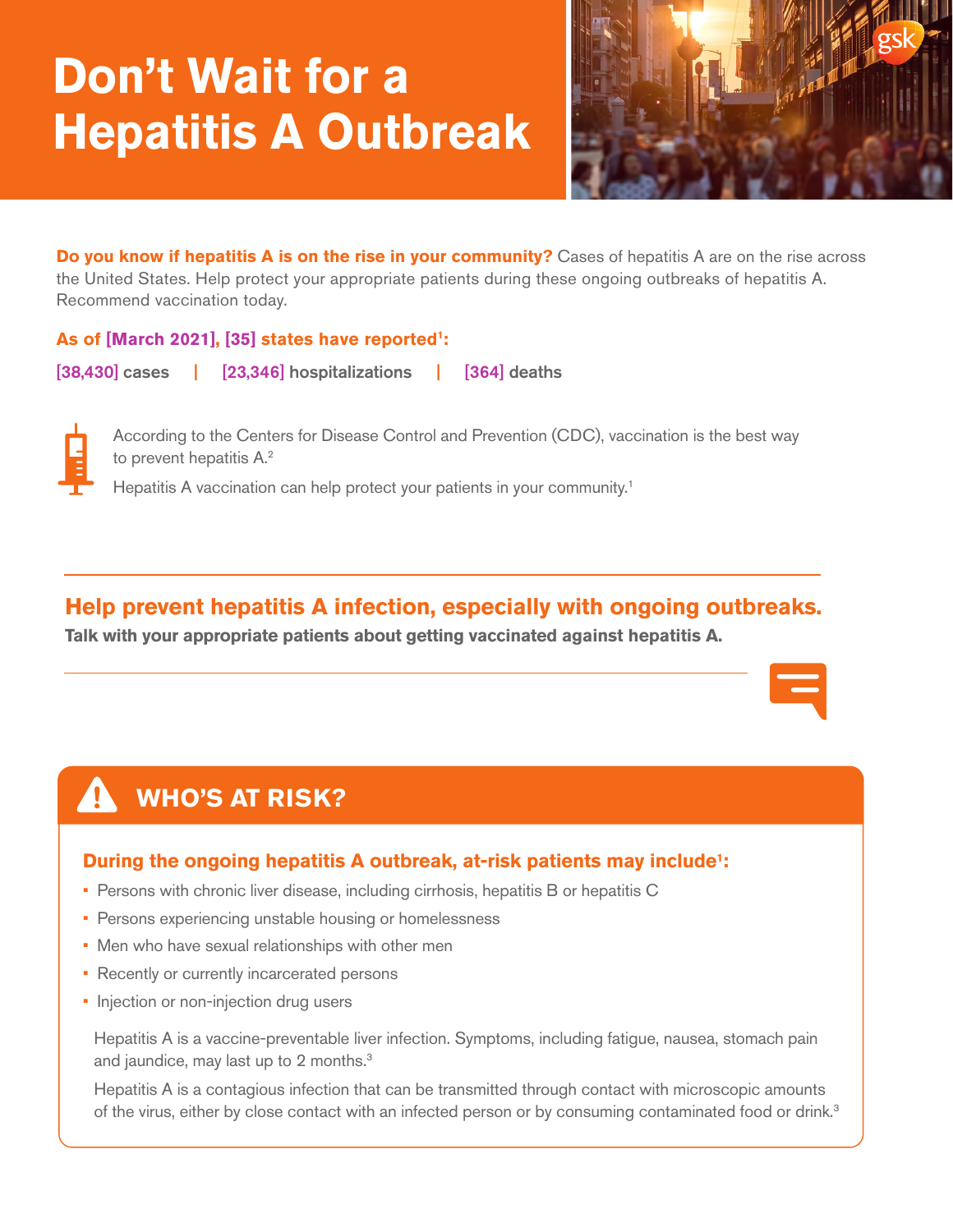# **Don't Wait for a Hepatitis A Outbreak**



**Do you know if hepatitis A is on the rise in your community?** Cases of hepatitis A are on the rise across the United States. Help protect your appropriate patients during these ongoing outbreaks of hepatitis A. Recommend vaccination today.

### **As of [March 2021], [35] states have reported1:**

[38,430] cases | [23,346] hospitalizations | [364] deaths



According to the Centers for Disease Control and Prevention (CDC), vaccination is the best way to prevent hepatitis A.<sup>2</sup>

Hepatitis A vaccination can help protect your patients in your community.<sup>1</sup>

# **Help prevent hepatitis A infection, especially with ongoing outbreaks.**

**Talk with your appropriate patients about getting vaccinated against hepatitis A.**

# **WHO'S AT RISK?**

## **During the ongoing hepatitis A outbreak, at-risk patients may include1 :**

- Persons with chronic liver disease, including cirrhosis, hepatitis B or hepatitis C
- Persons experiencing unstable housing or homelessness
- Men who have sexual relationships with other men
- Recently or currently incarcerated persons
- Injection or non-injection drug users

Hepatitis A is a vaccine-preventable liver infection. Symptoms, including fatigue, nausea, stomach pain and jaundice, may last up to 2 months.<sup>3</sup>

Hepatitis A is a contagious infection that can be transmitted through contact with microscopic amounts of the virus, either by close contact with an infected person or by consuming contaminated food or drink.<sup>3</sup>